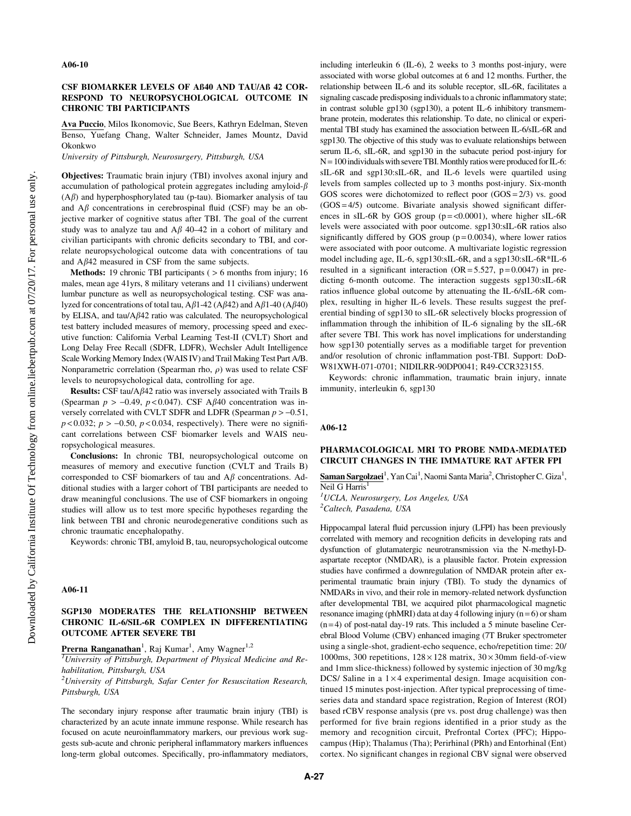## CSF BIOMARKER LEVELS OF Aß40 AND TAU/Aß 42 COR-RESPOND TO NEUROPSYCHOLOGICAL OUTCOME IN CHRONIC TBI PARTICIPANTS

Ava Puccio, Milos Ikonomovic, Sue Beers, Kathryn Edelman, Steven Benso, Yuefang Chang, Walter Schneider, James Mountz, David Okonkwo

University of Pittsburgh, Neurosurgery, Pittsburgh, USA

Objectives: Traumatic brain injury (TBI) involves axonal injury and accumulation of pathological protein aggregates including amyloid- $\beta$  $(A\beta)$  and hyperphosphorylated tau (p-tau). Biomarker analysis of tau and  $A\beta$  concentrations in cerebrospinal fluid (CSF) may be an objective marker of cognitive status after TBI. The goal of the current study was to analyze tau and  $A\beta$  40–42 in a cohort of military and civilian participants with chronic deficits secondary to TBI, and correlate neuropsychological outcome data with concentrations of tau and  $A\beta 42$  measured in CSF from the same subjects.

Methods: 19 chronic TBI participants ( $> 6$  months from injury; 16 males, mean age 41yrs, 8 military veterans and 11 civilians) underwent lumbar puncture as well as neuropsychological testing. CSF was analyzed for concentrations of total tau,  $A\beta$ 1-42 ( $A\beta$ 42) and  $A\beta$ 1-40 ( $A\beta$ 40) by ELISA, and tau/ $A\beta$ 42 ratio was calculated. The neuropsychological test battery included measures of memory, processing speed and executive function: California Verbal Learning Test-II (CVLT) Short and Long Delay Free Recall (SDFR, LDFR), Wechsler Adult Intelligence Scale Working Memory Index (WAIS IV) and Trail Making Test Part A/B. Nonparametric correlation (Spearman rho,  $\rho$ ) was used to relate CSF levels to neuropsychological data, controlling for age.

Results: CSF tau/A $\beta$ 42 ratio was inversely associated with Trails B (Spearman  $p > -0.49$ ,  $p < 0.047$ ). CSF A $\beta$ 40 concentration was inversely correlated with CVLT SDFR and LDFR (Spearman  $p > -0.51$ ,  $p < 0.032$ ;  $p > -0.50$ ,  $p < 0.034$ , respectively). There were no significant correlations between CSF biomarker levels and WAIS neuropsychological measures.

Conclusions: In chronic TBI, neuropsychological outcome on measures of memory and executive function (CVLT and Trails B) corresponded to CSF biomarkers of tau and  $A\beta$  concentrations. Additional studies with a larger cohort of TBI participants are needed to draw meaningful conclusions. The use of CSF biomarkers in ongoing studies will allow us to test more specific hypotheses regarding the link between TBI and chronic neurodegenerative conditions such as chronic traumatic encephalopathy.

Keywords: chronic TBI, amyloid B, tau, neuropsychological outcome

#### A06-11

# SGP130 MODERATES THE RELATIONSHIP BETWEEN CHRONIC IL-6/SIL-6R COMPLEX IN DIFFERENTIATING OUTCOME AFTER SEVERE TBI

Prerna Ranganathan<sup>1</sup>, Raj Kumar<sup>1</sup>, Amy Wagner<sup>1,2</sup>

<sup>1</sup>University of Pittsburgh, Department of Physical Medicine and Rehabilitation, Pittsburgh, USA

 $^{2}$ University of Pittsburgh, Safar Center for Resuscitation Research, Pittsburgh, USA

The secondary injury response after traumatic brain injury (TBI) is characterized by an acute innate immune response. While research has focused on acute neuroinflammatory markers, our previous work suggests sub-acute and chronic peripheral inflammatory markers influences long-term global outcomes. Specifically, pro-inflammatory mediators,

including interleukin 6 (IL-6), 2 weeks to 3 months post-injury, were associated with worse global outcomes at 6 and 12 months. Further, the relationship between IL-6 and its soluble receptor, sIL-6R, facilitates a signaling cascade predisposing individuals to a chronic inflammatory state; in contrast soluble gp130 (sgp130), a potent IL-6 inhibitory transmembrane protein, moderates this relationship. To date, no clinical or experimental TBI study has examined the association between IL-6/sIL-6R and sgp130. The objective of this study was to evaluate relationships between serum IL-6, sIL-6R, and sgp130 in the subacute period post-injury for  $N=100$  individuals with severe TBI. Monthly ratios were produced for IL-6: sIL-6R and sgp130:sIL-6R, and IL-6 levels were quartiled using levels from samples collected up to 3 months post-injury. Six-month GOS scores were dichotomized to reflect poor  $(GOS = 2/3)$  vs. good  $(GOS = 4/5)$  outcome. Bivariate analysis showed significant differences in sIL-6R by GOS group ( $p = < 0.0001$ ), where higher sIL-6R levels were associated with poor outcome. sgp130:sIL-6R ratios also significantly differed by GOS group  $(p=0.0034)$ , where lower ratios were associated with poor outcome. A multivariate logistic regression model including age, IL-6, sgp130:sIL-6R, and a sgp130:sIL-6R\*IL-6 resulted in a significant interaction  $(OR = 5.527, p = 0.0047)$  in predicting 6-month outcome. The interaction suggests sgp130:sIL-6R ratios influence global outcome by attenuating the IL-6/sIL-6R complex, resulting in higher IL-6 levels. These results suggest the preferential binding of sgp130 to sIL-6R selectively blocks progression of inflammation through the inhibition of IL-6 signaling by the sIL-6R after severe TBI. This work has novel implications for understanding how sgp130 potentially serves as a modifiable target for prevention and/or resolution of chronic inflammation post-TBI. Support: DoD-W81XWH-071-0701; NIDILRR-90DP0041; R49-CCR323155.

Keywords: chronic inflammation, traumatic brain injury, innate immunity, interleukin 6, sgp130

#### A06-12

# PHARMACOLOGICAL MRI TO PROBE NMDA-MEDIATED CIRCUIT CHANGES IN THE IMMATURE RAT AFTER FPI

Saman Sargolzaei<sup>1</sup>, Yan Cai<sup>1</sup>, Naomi Santa Maria<sup>2</sup>, Christopher C. Giza<sup>1</sup>, Neil G Harris<sup>1</sup>

<sup>1</sup>UCLA, Neurosurgery, Los Angeles, USA <sup>2</sup>Caltech, Pasadena, USA

Hippocampal lateral fluid percussion injury (LFPI) has been previously correlated with memory and recognition deficits in developing rats and dysfunction of glutamatergic neurotransmission via the N-methyl-Daspartate receptor (NMDAR), is a plausible factor. Protein expression studies have confirmed a downregulation of NMDAR protein after experimental traumatic brain injury (TBI). To study the dynamics of NMDARs in vivo, and their role in memory-related network dysfunction after developmental TBI, we acquired pilot pharmacological magnetic resonance imaging (phMRI) data at day 4 following injury ( $n = 6$ ) or sham  $(n=4)$  of post-natal day-19 rats. This included a 5 minute baseline Cerebral Blood Volume (CBV) enhanced imaging (7T Bruker spectrometer using a single-shot, gradient-echo sequence, echo/repetition time: 20/ 1000ms, 300 repetitions,  $128 \times 128$  matrix,  $30 \times 30$ mm field-of-view and 1mm slice-thickness) followed by systemic injection of 30 mg/kg DCS/ Saline in a  $1 \times 4$  experimental design. Image acquisition continued 15 minutes post-injection. After typical preprocessing of timeseries data and standard space registration, Region of Interest (ROI) based rCBV response analysis (pre vs. post drug challenge) was then performed for five brain regions identified in a prior study as the memory and recognition circuit, Prefrontal Cortex (PFC); Hippocampus (Hip); Thalamus (Tha); Perirhinal (PRh) and Entorhinal (Ent) cortex. No significant changes in regional CBV signal were observed